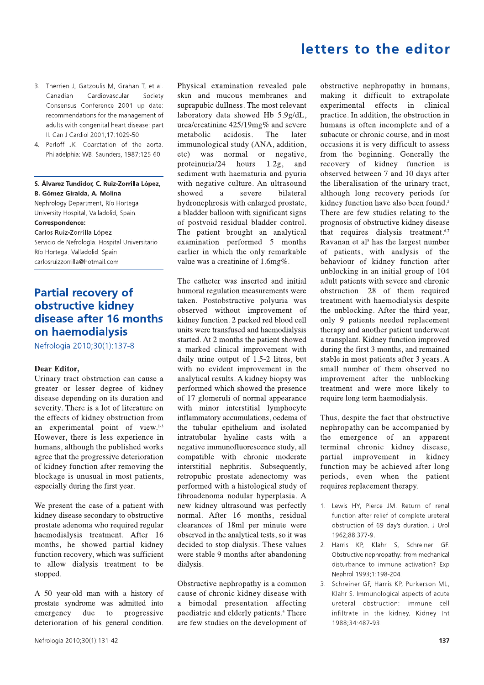# letters to the editor

- 3. Therrien J, Gatzoulis M, Grahan T, et al. Canadian Cardiovascular Society Consensus Conference 2001 up date: recommendations for the management of adults with congenital heart disease: part II. Can J Cardiol 2001;17:1029-50.
- 4. Perloff JK. Coarctation of the aorta. Philadelphia: WB. Saunders, 1987;125-60.

### S. Álvarez Tundidor, C. Ruiz-Zorrilla López, **B. Gómez Giralda, A. Molina**

Nephrology Department, Río Hortega University Hospital, Valladolid, Spain.

# Correspondence:

Carlos Ruiz-Zorrilla López Servicio de Nefrología. Hospital Universitario Río Hortega. Valladolid. Spain. carlosruizzorrilla@hotmail.com

## **Partial recovery of** obstructive kidnev disease after 16 months on haemodialysis

Nefrologia 2010;30(1):137-8

## Dear Editor.

Urinary tract obstruction can cause a greater or lesser degree of kidney disease depending on its duration and severity. There is a lot of literature on the effects of kidney obstruction from an experimental point of view. $1-3$ However, there is less experience in humans, although the published works agree that the progressive deterioration of kidney function after removing the blockage is unusual in most patients, especially during the first year.

We present the case of a patient with kidney disease secondary to obstructive prostate adenoma who required regular haemodialysis treatment. After 16 months, he showed partial kidney function recovery, which was sufficient to allow dialysis treatment to be stopped.

A 50 year-old man with a history of prostate syndrome was admitted into emergency due to progressive deterioration of his general condition.

Physical examination revealed pale skin and mucous membranes and suprapubic dullness. The most relevant laboratory data showed Hb 5.9g/dL, urea/creatinine 425/19mg% and severe The metabolic acidosis. later immunological study (ANA, addition, was normal or negative,  $etc)$ proteinuria/24 hours  $1.2g$ , and sediment with haematuria and pyuria with negative culture. An ultrasound showed severe bilateral  $\overline{a}$ hydronephrosis with enlarged prostate, a bladder balloon with significant signs of postvoid residual bladder control. The patient brought an analytical examination performed 5 months earlier in which the only remarkable value was a creatinine of 1.6mg%.

The catheter was inserted and initial humoral regulation measurements were taken. Postobstructive polyuria was observed without improvement of kidney function. 2 packed red blood cell units were transfused and haemodialysis started. At 2 months the patient showed a marked clinical improvement with daily urine output of 1.5-2 litres, but with no evident improvement in the analytical results. A kidney biopsy was performed which showed the presence of 17 glomeruli of normal appearance with minor interstitial lymphocyte inflammatory accumulations, oedema of the tubular epithelium and isolated intratubular hyaline casts with a negative immunofluorescence study, all compatible with chronic moderate interstitial nephritis. Subsequently, retropubic prostate adenectomy was performed with a histological study of fibroadenoma nodular hyperplasia. A new kidney ultrasound was perfectly normal. After 16 months, residual clearances of 18ml per minute were observed in the analytical tests, so it was decided to stop dialysis. These values were stable 9 months after abandoning dialysis.

Obstructive nephropathy is a common cause of chronic kidney disease with a bimodal presentation affecting paediatric and elderly patients.<sup>4</sup> There are few studies on the development of

obstructive nephropathy in humans, making it difficult to extrapolate experimental effects in clinical practice. In addition, the obstruction in humans is often incomplete and of a subacute or chronic course, and in most occasions it is very difficult to assess from the beginning. Generally the recovery of kidney function is observed between 7 and 10 days after the liberalisation of the urinary tract, although long recovery periods for kidney function have also been found.<sup>5</sup> There are few studies relating to the prognosis of obstructive kidney disease that requires dialysis treatment.<sup>6,7</sup> Ravanan et al<sup>8</sup> has the largest number of patients, with analysis of the behaviour of kidney function after unblocking in an initial group of 104 adult patients with severe and chronic obstruction. 28 of them required treatment with haemodialysis despite the unblocking. After the third year, only 9 patients needed replacement therapy and another patient underwent a transplant. Kidney function improved during the first 3 months, and remained stable in most patients after 3 years. A small number of them observed no improvement after the unblocking treatment and were more likely to require long term haemodialysis.

Thus, despite the fact that obstructive nephropathy can be accompanied by the emergence of an apparent terminal chronic kidney disease, partial improvement in kidney function may be achieved after long periods, even when the patient requires replacement therapy.

- 1. Lewis HY, Pierce JM. Return of renal function after relief of complete ureteral obstruction of 69 day's duration. J Urol 1962:88:377-9.
- 2. Harris KP, Klahr S, Schreiner GF. Obstructive nephropathy: from mechanical disturbance to immune activation? Exp Nephrol 1993;1:198-204.
- 3. Schreiner GF, Harris KP, Purkerson ML, Klahr S. Immunological aspects of acute ureteral obstruction: immune cell infiltrate in the kidney. Kidney Int 1988;34:487-93.